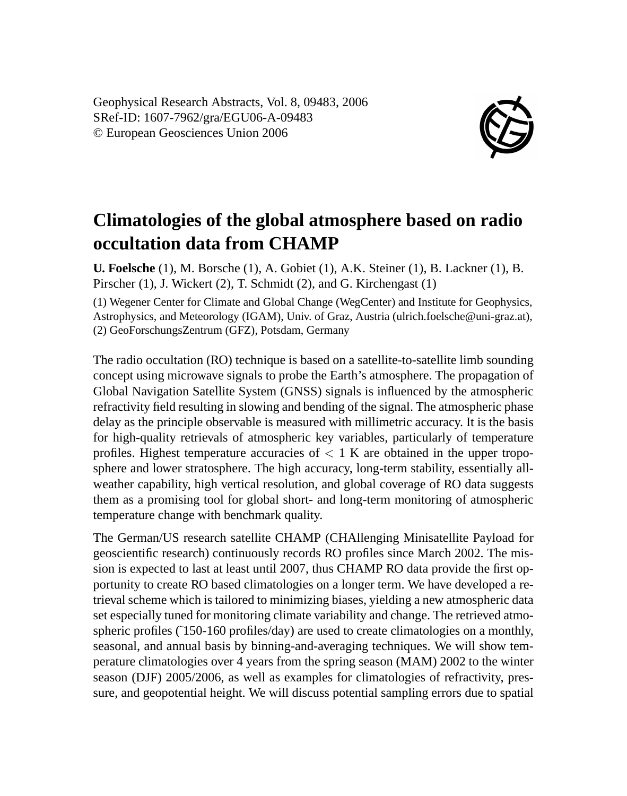Geophysical Research Abstracts, Vol. 8, 09483, 2006 SRef-ID: 1607-7962/gra/EGU06-A-09483 © European Geosciences Union 2006



## **Climatologies of the global atmosphere based on radio occultation data from CHAMP**

**U. Foelsche** (1), M. Borsche (1), A. Gobiet (1), A.K. Steiner (1), B. Lackner (1), B. Pirscher (1), J. Wickert (2), T. Schmidt (2), and G. Kirchengast (1)

(1) Wegener Center for Climate and Global Change (WegCenter) and Institute for Geophysics, Astrophysics, and Meteorology (IGAM), Univ. of Graz, Austria (ulrich.foelsche@uni-graz.at), (2) GeoForschungsZentrum (GFZ), Potsdam, Germany

The radio occultation (RO) technique is based on a satellite-to-satellite limb sounding concept using microwave signals to probe the Earth's atmosphere. The propagation of Global Navigation Satellite System (GNSS) signals is influenced by the atmospheric refractivity field resulting in slowing and bending of the signal. The atmospheric phase delay as the principle observable is measured with millimetric accuracy. It is the basis for high-quality retrievals of atmospheric key variables, particularly of temperature profiles. Highest temperature accuracies of  $\lt 1$  K are obtained in the upper troposphere and lower stratosphere. The high accuracy, long-term stability, essentially allweather capability, high vertical resolution, and global coverage of RO data suggests them as a promising tool for global short- and long-term monitoring of atmospheric temperature change with benchmark quality.

The German/US research satellite CHAMP (CHAllenging Minisatellite Payload for geoscientific research) continuously records RO profiles since March 2002. The mission is expected to last at least until 2007, thus CHAMP RO data provide the first opportunity to create RO based climatologies on a longer term. We have developed a retrieval scheme which is tailored to minimizing biases, yielding a new atmospheric data set especially tuned for monitoring climate variability and change. The retrieved atmospheric profiles (~150-160 profiles/day) are used to create climatologies on a monthly, seasonal, and annual basis by binning-and-averaging techniques. We will show temperature climatologies over 4 years from the spring season (MAM) 2002 to the winter season (DJF) 2005/2006, as well as examples for climatologies of refractivity, pressure, and geopotential height. We will discuss potential sampling errors due to spatial